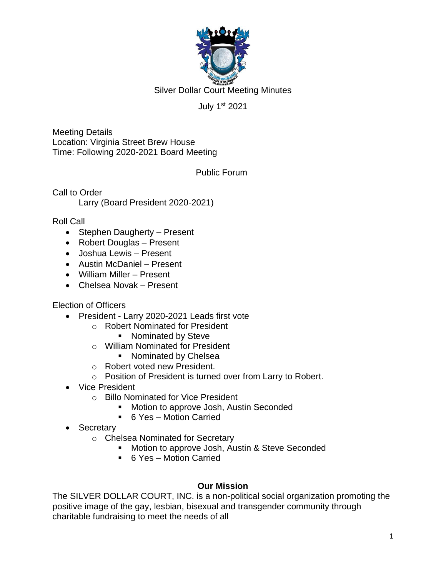

Silver Dollar Court Meeting Minutes

## July 1st 2021

Meeting Details Location: Virginia Street Brew House Time: Following 2020-2021 Board Meeting

Public Forum

Call to Order Larry (Board President 2020-2021)

#### Roll Call

- Stephen Daugherty Present
- Robert Douglas Present
- Joshua Lewis Present
- Austin McDaniel Present
- William Miller Present
- Chelsea Novak Present

### Election of Officers

- President Larry 2020-2021 Leads first vote
	- o Robert Nominated for President
		- Nominated by Steve
	- o William Nominated for President
		- Nominated by Chelsea
	- o Robert voted new President.
	- o Position of President is turned over from Larry to Robert.
- Vice President
	- o Billo Nominated for Vice President
		- Motion to approve Josh, Austin Seconded
		- 6 Yes Motion Carried
- Secretary
	- o Chelsea Nominated for Secretary
		- Motion to approve Josh, Austin & Steve Seconded
		- 6 Yes Motion Carried

### **Our Mission**

The SILVER DOLLAR COURT, INC. is a non-political social organization promoting the positive image of the gay, lesbian, bisexual and transgender community through charitable fundraising to meet the needs of all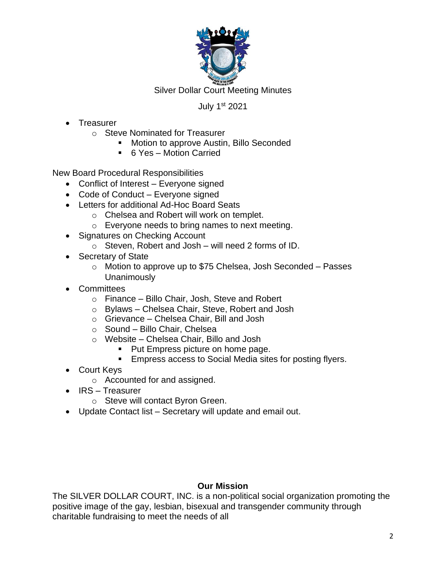

Silver Dollar Court Meeting Minutes

### July 1st 2021

- Treasurer
	- o Steve Nominated for Treasurer
		- Motion to approve Austin, Billo Seconded
		- 6 Yes Motion Carried

New Board Procedural Responsibilities

- Conflict of Interest Everyone signed
- Code of Conduct Everyone signed
- Letters for additional Ad-Hoc Board Seats
	- o Chelsea and Robert will work on templet.
	- o Everyone needs to bring names to next meeting.
- Signatures on Checking Account
	- o Steven, Robert and Josh will need 2 forms of ID.
- Secretary of State
	- o Motion to approve up to \$75 Chelsea, Josh Seconded Passes Unanimously
- Committees
	- o Finance Billo Chair, Josh, Steve and Robert
	- o Bylaws Chelsea Chair, Steve, Robert and Josh
	- o Grievance Chelsea Chair, Bill and Josh
	- o Sound Billo Chair, Chelsea
	- o Website Chelsea Chair, Billo and Josh
		- Put Empress picture on home page.
		- Empress access to Social Media sites for posting flyers.
- Court Keys
	- o Accounted for and assigned.
- IRS Treasurer
	- o Steve will contact Byron Green.
- Update Contact list Secretary will update and email out.

### **Our Mission**

The SILVER DOLLAR COURT, INC. is a non-political social organization promoting the positive image of the gay, lesbian, bisexual and transgender community through charitable fundraising to meet the needs of all